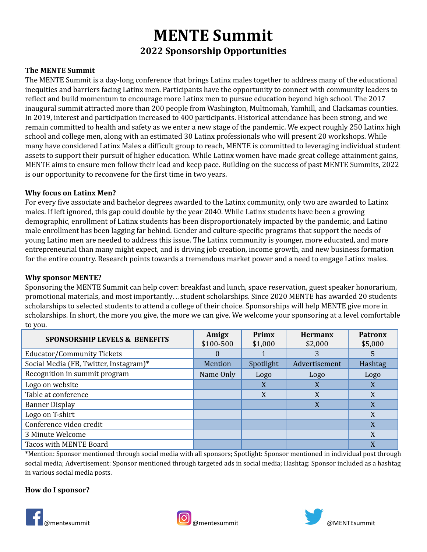# **MENTE Summit 2022 Sponsorship Opportunities**

## **The MENTE Summit**

The MENTE Summit is a day-long conference that brings Latinx males together to address many of the educational inequities and barriers facing Latinx men. Participants have the opportunity to connect with community leaders to reflect and build momentum to encourage more Latinx men to pursue education beyond high school. The 2017 inaugural summit attracted more than 200 people from Washington, Multnomah, Yamhill, and Clackamas counties. In 2019, interest and participation increased to 400 participants. Historical attendance has been strong, and we remain committed to health and safety as we enter a new stage of the pandemic. We expect roughly 250 Latinx high school and college men, along with an estimated 30 Latinx professionals who will present 20 workshops. While many have considered Latinx Males a difficult group to reach, MENTE is committed to leveraging individual student assets to support their pursuit of higher education. While Latinx women have made great college attainment gains, MENTE aims to ensure men follow their lead and keep pace. Building on the success of past MENTE Summits, 2022 is our opportunity to reconvene for the first time in two years.

### **Why focus on Latinx Men?**

For every five associate and bachelor degrees awarded to the Latinx community, only two are awarded to Latinx males. If left ignored, this gap could double by the year 2040. While Latinx students have been a growing demographic, enrollment of Latinx students has been disproportionately impacted by the pandemic, and Latino male enrollment has been lagging far behind. Gender and culture-specific programs that support the needs of young Latino men are needed to address this issue. The Latinx community is younger, more educated, and more entrepreneurial than many might expect, and is driving job creation, income growth, and new business formation for the entire country. Research points towards a tremendous market power and a need to engage Latinx males.

### **Why sponsor MENTE?**

Sponsoring the MENTE Summit can help cover: breakfast and lunch, space reservation, guest speaker honorarium, promotional materials, and most importantly…student scholarships. Since 2020 MENTE has awarded 20 students scholarships to selected students to attend a college of their choice. Sponsorships will help MENTE give more in scholarships. In short, the more you give, the more we can give. We welcome your sponsoring at a level comfortable to you.

| <b>SPONSORSHIP LEVELS &amp; BENEFITS</b> | Amigx     | Primx     | <b>Hermanx</b> | <b>Patronx</b> |
|------------------------------------------|-----------|-----------|----------------|----------------|
|                                          | \$100-500 | \$1,000   | \$2,000        | \$5,000        |
| Educator/Community Tickets               | $\theta$  |           | 3              | 5              |
| Social Media (FB, Twitter, Instagram)*   | Mention   | Spotlight | Advertisement  | Hashtag        |
| Recognition in summit program            | Name Only | Logo      | Logo           | Logo           |
| Logo on website                          |           | X         | X              | X              |
| Table at conference                      |           | X         | X              | X              |
| <b>Banner Display</b>                    |           |           | X              | X              |
| Logo on T-shirt                          |           |           |                | X              |
| Conference video credit                  |           |           |                | X              |
| 3 Minute Welcome                         |           |           |                | X              |
| Tacos with MENTE Board                   |           |           |                | X              |

\*Mention: Sponsor mentioned through social media with all sponsors; Spotlight: Sponsor mentioned in individual post through social media; Advertisement: Sponsor mentioned through targeted ads in social media; Hashtag: Sponsor included as a hashtag in various social media posts.

### **How do I sponsor?**